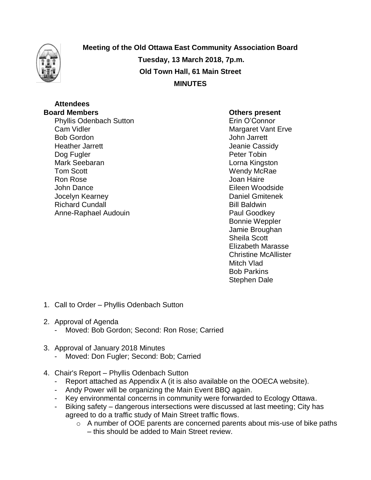

**Meeting of the Old Ottawa East Community Association Board Tuesday, 13 March 2018, 7p.m. Old Town Hall, 61 Main Street MINUTES**

## **Attendees**

Phyllis Odenbach Sutton **Example 20** Erin O'Connor Cam Vidler Cam Vidler Cam Vidler Cam Vidler Cam Vidler Cam Context Cam Context Cam Context Cam Context Cam Context Context Context Context Context Context Context Context Context Context Context Context Context Context Con Heather Jarrett **Heather Jarrett** Alleman and Theorem and Jeanie Cassidy Dog Fugler **Peter Tobin** Mark Seebaran **Lorna Kingston** Tom Scott **New York Contract Contract Contract Contract Contract Contract Contract Contract Contract Contract Contract Contract Contract Contract Contract Contract Contract Contract Contract Contract Contract Contract Cont** Ron Rose Joan Haire John Dance Eileen Woodside Jocelyn Kearney Daniel Gmitenek Richard Cundall **Bill Baldwin** Anne-Raphael Audouin **Paul Goodkey** 

## **Board Members Others present**

John Jarrett Bonnie Weppler Jamie Broughan Sheila Scott Elizabeth Marasse Christine McAllister Mitch Vlad Bob Parkins Stephen Dale

- 1. Call to Order Phyllis Odenbach Sutton
- 2. Approval of Agenda
	- Moved: Bob Gordon; Second: Ron Rose; Carried
- 3. Approval of January 2018 Minutes
	- Moved: Don Fugler; Second: Bob; Carried
- 4. Chair's Report Phyllis Odenbach Sutton
	- Report attached as Appendix A (it is also available on the OOECA website).
	- Andy Power will be organizing the Main Event BBQ again.
	- Key environmental concerns in community were forwarded to Ecology Ottawa.
	- Biking safety dangerous intersections were discussed at last meeting; City has agreed to do a traffic study of Main Street traffic flows.
		- o A number of OOE parents are concerned parents about mis-use of bike paths – this should be added to Main Street review.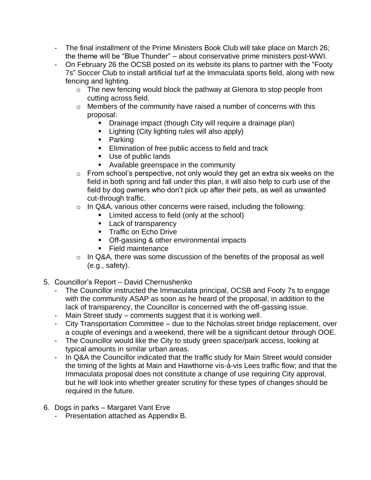- The final installment of the Prime Ministers Book Club will take place on March 26; the theme will be "Blue Thunder" – about conservative prime ministers post-WWI.
- On February 26 the OCSB posted on its website its plans to partner with the "Footy 7s" Soccer Club to install artificial turf at the Immaculata sports field, along with new fencing and lighting.
	- o The new fencing would block the pathway at Glenora to stop people from cutting across field.
	- o Members of the community have raised a number of concerns with this proposal:
		- **Drainage impact (though City will require a drainage plan)**
		- **E** Lighting (City lighting rules will also apply)
		- **Parking**
		- **Elimination of free public access to field and track**
		- Use of public lands
		- **Available greenspace in the community**
	- $\circ$  From school's perspective, not only would they get an extra six weeks on the field in both spring and fall under this plan, it will also help to curb use of the field by dog owners who don't pick up after their pets, as well as unwanted cut-through traffic.
	- $\circ$  In Q&A, various other concerns were raised, including the following:
		- Limited access to field (only at the school)
		- **Lack of transparency**
		- **Traffic on Echo Drive**
		- **Off-gassing & other environmental impacts**
		- **Field maintenance**
	- $\circ$  In Q&A, there was some discussion of the benefits of the proposal as well (e.g., safety).
- 5. Councillor's Report David Chernushenko
	- The Councillor instructed the Immaculata principal, OCSB and Footy 7s to engage with the community ASAP as soon as he heard of the proposal; in addition to the lack of transparency, the Councillor is concerned with the off-gassing issue.
	- Main Street study comments suggest that it is working well.
	- City Transportation Committee due to the Nicholas street bridge replacement, over a couple of evenings and a weekend, there will be a significant detour through OOE.
	- The Councillor would like the City to study green space/park access, looking at typical amounts in similar urban areas.
	- In Q&A the Councillor indicated that the traffic study for Main Street would consider the timing of the lights at Main and Hawthorne vis-à-vis Lees traffic flow; and that the Immaculata proposal does not constitute a change of use requiring City approval, but he will look into whether greater scrutiny for these types of changes should be required in the future.
- 6. Dogs in parks Margaret Vant Erve
	- Presentation attached as Appendix B.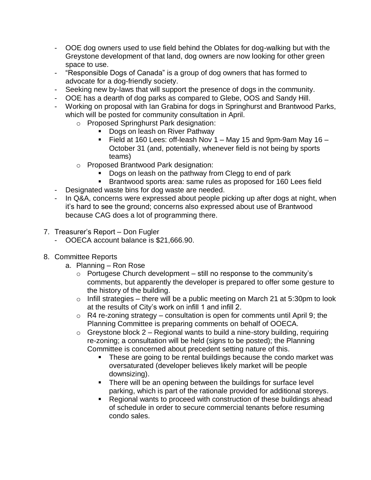- OOE dog owners used to use field behind the Oblates for dog-walking but with the Greystone development of that land, dog owners are now looking for other green space to use.
- "Responsible Dogs of Canada" is a group of dog owners that has formed to advocate for a dog-friendly society.
- Seeking new by-laws that will support the presence of dogs in the community.
- OOE has a dearth of dog parks as compared to Glebe, OOS and Sandy Hill.
- Working on proposal with Ian Grabina for dogs in Springhurst and Brantwood Parks, which will be posted for community consultation in April.
	- o Proposed Springhurst Park designation:
		- Dogs on leash on River Pathway
		- Field at 160 Lees: off-leash Nov 1 May 15 and 9pm-9am May 16 October 31 (and, potentially, whenever field is not being by sports teams)
	- o Proposed Brantwood Park designation:
		- Dogs on leash on the pathway from Clegg to end of park
		- Brantwood sports area: same rules as proposed for 160 Lees field
- Designated waste bins for dog waste are needed.
- In Q&A, concerns were expressed about people picking up after dogs at night, when it's hard to see the ground; concerns also expressed about use of Brantwood because CAG does a lot of programming there.
- 7. Treasurer's Report Don Fugler
	- OOECA account balance is \$21,666.90.
- 8. Committee Reports
	- a. Planning Ron Rose
		- $\circ$  Portugese Church development still no response to the community's comments, but apparently the developer is prepared to offer some gesture to the history of the building.
		- $\circ$  Infill strategies there will be a public meeting on March 21 at 5:30pm to look at the results of City's work on infill 1 and infill 2.
		- $\circ$  R4 re-zoning strategy consultation is open for comments until April 9; the Planning Committee is preparing comments on behalf of OOECA.
		- $\circ$  Greystone block 2 Regional wants to build a nine-story building, requiring re-zoning; a consultation will be held (signs to be posted); the Planning Committee is concerned about precedent setting nature of this.
			- These are going to be rental buildings because the condo market was oversaturated (developer believes likely market will be people downsizing).
			- **There will be an opening between the buildings for surface level** parking, which is part of the rationale provided for additional storeys.
			- Regional wants to proceed with construction of these buildings ahead of schedule in order to secure commercial tenants before resuming condo sales.